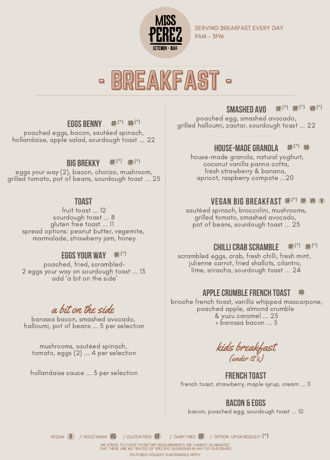

SERVING BREAKFAST EVERY DAY 9AM - 3PM

# - BREAKFAST -

#### Eggs Benny Gf (\*) vg (\*)

poached eggs, bacon, sautéed spinach, hollandaise, apple salad, sourdough toast ... 22

#### big brekky  $GF<sup>(*)</sup>$  of  $(*)$

eggs your way (2), bacon, chorizo, mushroom, grilled tomato, pot of beans, sourdough toast ... 25

#### **TOAST**

fruit toast ... 12 sourdough toast ... 8 gluten free toast ... 11 spread options: peanut butter, vegemite, marmalade, strawberry jam, honey

### EggsYour Way Gf (\*)

poached, fried, scrambled-2 eggs your way on sourdough toast ... 13 add 'a bit on the side'

### a bit on the side

barossa bacon, smashed avocado, halloumi, pot of beans ... 5 per selection

mushrooms, sautéed spinach, tomato, eggs (2) ... 4 per selection

hollandaise sauce ... 3 per selection

#### Smashed avo  $\text{GF}$  (\*)  $\text{DF}$  (\*)  $\text{VG}$  (\*)

poached egg, smashed avocado, grilled halloumi, zaatar, sourdough toast ... 22

#### house-madegranola df (\*) vg

house-made granola, natural yoghurt, coconut vanilla panna cotta, fresh strawberry & banana, apricot, raspberry compote ...20

### VEGAN BIG BREAKFAST GEC\*) OF VG V

sautéed spinach, broccolini, mushrooms, grilled tomato, smashed avocado, pot of beans, sourdough toast ... 25

#### cHILLICRAB SCRAMBLE Gf (\*) df (\*)

scrambled eggs, crab, fresh chilli, fresh mint, julienne carrot, fried shallots, cilantro, lime, sriracha, sourdough toast ... 24

#### applecrumblefrench toast vg

brioche french toast, vanilla whipped mascarpone, poached apple, almond crumble & yuzu caramel ... 23 + barossa bacon ... 5

kids breakfast (under 12's)

**French Toast** french toast, strawberry, maple syrup, cream ... 11

### **Bacon & Eggs**

bacon, poached egg, sourdough toast ... 10

vegan (V) / vegetarian (VG) / gluten free (GF)  $\,$  / dairy free (DF)  $\,$  / option upon request (\*)

WE STRIVE TO CATER TO DIETARY REQUIREMENTS, WE CANNOT GUARANTEE THAT THERE ARE NO TRACES OF SPECIFIC ALLERGENS IN ANY OF OUR DISHES 15% PUBLIC HOLIDAY SURCHARGES APPLY